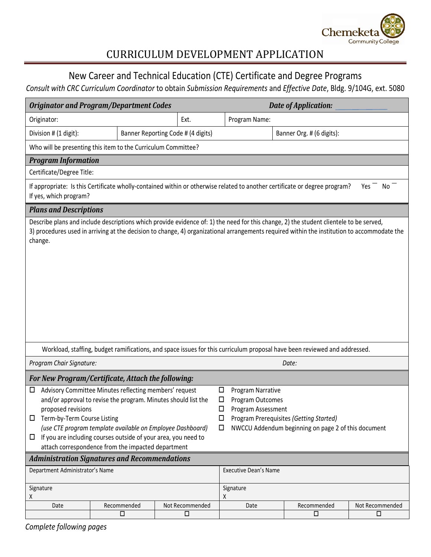

# CURRICULUM DEVELOPMENT APPLICATION

## New Career and Technical Education (CTE) Certificate and Degree Programs

### *Consult with CRC Curriculum Coordinator* to obtain *Submission Requirements* and *Effective Date*, Bldg. 9/104G, ext. 5080

| <b>Originator and Program/Department Codes</b>                                                                                                                                                                                                                                                                                                                                     |                       |                                    | Date of Application:                                                                                                                                                                        |                                                                                                                                                                                                                                                                                       |                           |
|------------------------------------------------------------------------------------------------------------------------------------------------------------------------------------------------------------------------------------------------------------------------------------------------------------------------------------------------------------------------------------|-----------------------|------------------------------------|---------------------------------------------------------------------------------------------------------------------------------------------------------------------------------------------|---------------------------------------------------------------------------------------------------------------------------------------------------------------------------------------------------------------------------------------------------------------------------------------|---------------------------|
| Originator:                                                                                                                                                                                                                                                                                                                                                                        |                       | Ext.                               | Program Name:                                                                                                                                                                               |                                                                                                                                                                                                                                                                                       |                           |
| Division # (1 digit):                                                                                                                                                                                                                                                                                                                                                              |                       | Banner Reporting Code # (4 digits) |                                                                                                                                                                                             | Banner Org. # (6 digits):                                                                                                                                                                                                                                                             |                           |
| Who will be presenting this item to the Curriculum Committee?                                                                                                                                                                                                                                                                                                                      |                       |                                    |                                                                                                                                                                                             |                                                                                                                                                                                                                                                                                       |                           |
| <b>Program Information</b>                                                                                                                                                                                                                                                                                                                                                         |                       |                                    |                                                                                                                                                                                             |                                                                                                                                                                                                                                                                                       |                           |
| Certificate/Degree Title:                                                                                                                                                                                                                                                                                                                                                          |                       |                                    |                                                                                                                                                                                             |                                                                                                                                                                                                                                                                                       |                           |
| If appropriate: Is this Certificate wholly-contained within or otherwise related to another certificate or degree program?<br>No<br>Yes<br>If yes, which program?                                                                                                                                                                                                                  |                       |                                    |                                                                                                                                                                                             |                                                                                                                                                                                                                                                                                       |                           |
| <b>Plans and Descriptions</b>                                                                                                                                                                                                                                                                                                                                                      |                       |                                    |                                                                                                                                                                                             |                                                                                                                                                                                                                                                                                       |                           |
| change.                                                                                                                                                                                                                                                                                                                                                                            |                       |                                    |                                                                                                                                                                                             | Describe plans and include descriptions which provide evidence of: 1) the need for this change, 2) the student clientele to be served,<br>3) procedures used in arriving at the decision to change, 4) organizational arrangements required within the institution to accommodate the |                           |
| Workload, staffing, budget ramifications, and space issues for this curriculum proposal have been reviewed and addressed.                                                                                                                                                                                                                                                          |                       |                                    |                                                                                                                                                                                             |                                                                                                                                                                                                                                                                                       |                           |
| Program Chair Signature:                                                                                                                                                                                                                                                                                                                                                           |                       |                                    | Date:                                                                                                                                                                                       |                                                                                                                                                                                                                                                                                       |                           |
| For New Program/Certificate, Attach the following:                                                                                                                                                                                                                                                                                                                                 |                       |                                    |                                                                                                                                                                                             |                                                                                                                                                                                                                                                                                       |                           |
| Advisory Committee Minutes reflecting members' request<br>⊔<br>and/or approval to revise the program. Minutes should list the<br>proposed revisions<br>Term-by-Term Course Listing<br>□<br>(use CTE program template available on Employee Dashboard)<br>If you are including courses outside of your area, you need to<br>□<br>attach correspondence from the impacted department |                       |                                    | Program Narrative<br>◻<br>Program Outcomes<br>□<br>$\Box$<br>Program Assessment<br>Program Prerequisites (Getting Started)<br>□<br>NWCCU Addendum beginning on page 2 of this document<br>□ |                                                                                                                                                                                                                                                                                       |                           |
| <b>Administration Signatures and Recommendations</b>                                                                                                                                                                                                                                                                                                                               |                       |                                    |                                                                                                                                                                                             |                                                                                                                                                                                                                                                                                       |                           |
| Department Administrator's Name                                                                                                                                                                                                                                                                                                                                                    |                       |                                    | <b>Executive Dean's Name</b>                                                                                                                                                                |                                                                                                                                                                                                                                                                                       |                           |
| Signature<br>Χ                                                                                                                                                                                                                                                                                                                                                                     |                       |                                    | Signature<br>X                                                                                                                                                                              |                                                                                                                                                                                                                                                                                       |                           |
| Date                                                                                                                                                                                                                                                                                                                                                                               | Recommended<br>$\Box$ | Not Recommended<br>□               | Date                                                                                                                                                                                        | Recommended<br>$\Box$                                                                                                                                                                                                                                                                 | Not Recommended<br>$\Box$ |
|                                                                                                                                                                                                                                                                                                                                                                                    |                       |                                    |                                                                                                                                                                                             |                                                                                                                                                                                                                                                                                       |                           |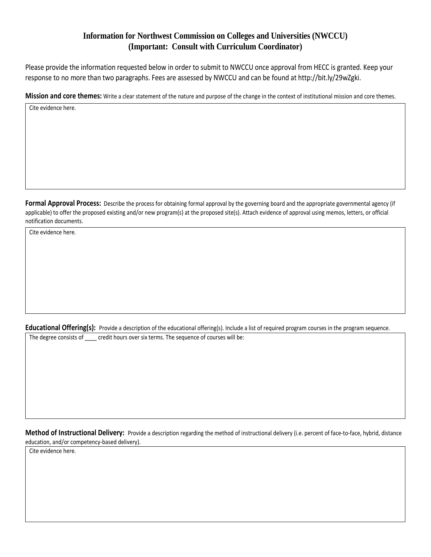### **Information for Northwest Commission on Colleges and Universities (NWCCU) (Important: Consult with Curriculum Coordinator)**

Please provide the information requested below in order to submit to NWCCU once approval from HECC is granted. Keep your response to no more than two paragraphs. Fees are assessed by NWCCU and can be found at http://bit.ly/29wZgki.

**Mission and core themes:** Write a clear statement of the nature and purpose of the change in the context of institutional mission and core themes.

Cite evidence here.

Formal Approval Process: Describe the process for obtaining formal approval by the governing board and the appropriate governmental agency (if applicable) to offer the proposed existing and/or new program(s) at the proposed site(s). Attach evidence of approval using memos, letters, or official notification documents.

Cite evidence here.

Educational Offering(s): Provide a description of the educational offering(s). Include a list of required program courses in the program sequence.

The degree consists of credit hours over six terms. The sequence of courses will be:

**Method of Instructional Delivery:** Provide a description regarding the method of instructional delivery (i.e. percent of face-to-face, hybrid, distance education, and/or competency-based delivery).

Cite evidence here.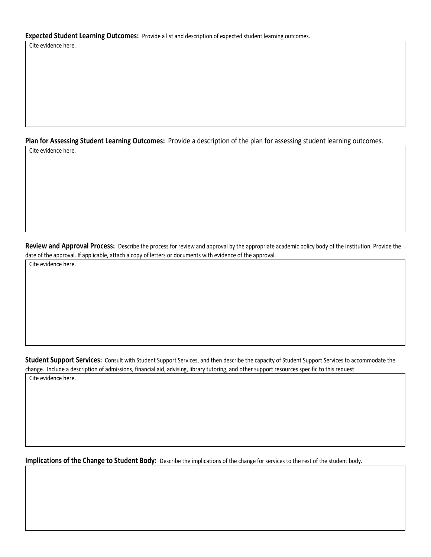#### **Expected Student Learning Outcomes:** Provide a list and description of expected student learning outcomes.

Cite evidence here.

#### **Plan for Assessing Student Learning Outcomes:** Provide a description of the plan for assessing student learning outcomes.

Cite evidence here.

**Review and Approval Process:** Describe the process for review and approval by the appropriate academic policy body of the institution. Provide the date of the approval. If applicable, attach a copy of letters or documents with evidence of the approval.

Cite evidence here.

**Student Support Services:** Consult with Student Support Services, and then describe the capacity of Student Support Services to accommodate the change. Include a description of admissions, financial aid, advising, library tutoring, and other support resources specific to this request.

Cite evidence here.

**Implications of the Change to Student Body:** Describe the implications of the change for services to the rest of the student body.